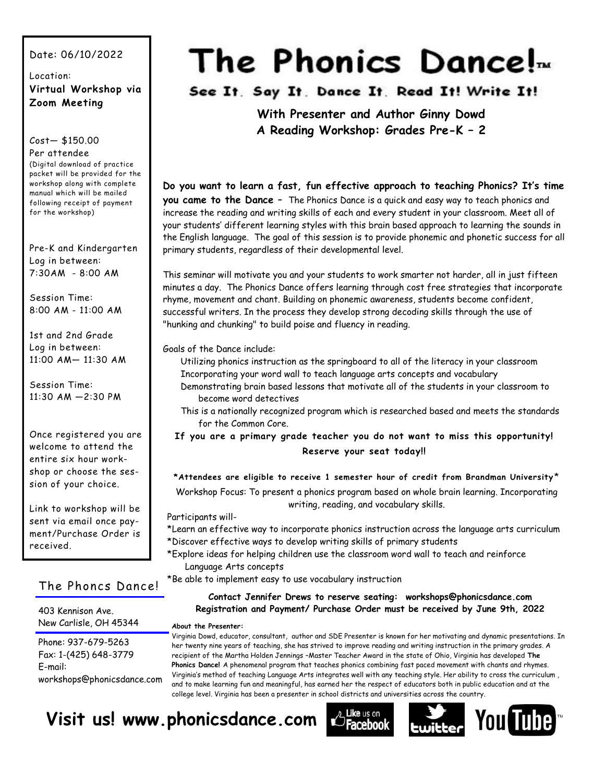#### Date: 06/10/2022

#### Location: **Virtual Workshop via Zoom Meeting**

#### Cost— \$150.00

Per attendee (Digital download of practice packet will be provided for the workshop along with complete manual which will be mailed following receipt of payment for the workshop)

Pre-K and Kindergarten Log in between: 7:30AM - 8:00 AM

Session Time: 8:00 AM - 11:00 AM

1st and 2nd Grade Log in between: 11:00 AM— 11:30 AM

Session Time: 11:30 AM —2:30 PM

Once registered you are welcome to attend the entire six hour workshop or choose the session of your choice.

Link to workshop will be sent via email once payment/Purchase Order is received.

#### The Phoncs Dance!

403 Kennison Ave. New Carlisle, OH 45344

Phone: 937-679-5263 Fax: 1-(425) 648-3779 E-mail: workshops@phonicsdance.com

# The Phonics Dance!<sub>*m*</sub>

See It. Say It. Dance It. Read It! Write It!

**With Presenter and Author Ginny Dowd A Reading Workshop: Grades Pre-K – 2**

**Do you want to learn a fast, fun effective approach to teaching Phonics? It's time you came to the Dance** – The Phonics Dance is a quick and easy way to teach phonics and increase the reading and writing skills of each and every student in your classroom. Meet all of your students' different learning styles with this brain based approach to learning the sounds in the English language. The goal of this session is to provide phonemic and phonetic success for all primary students, regardless of their developmental level.

This seminar will motivate you and your students to work smarter not harder, all in just fifteen minutes a day. The Phonics Dance offers learning through cost free strategies that incorporate rhyme, movement and chant. Building on phonemic awareness, students become confident, successful writers. In the process they develop strong decoding skills through the use of "hunking and chunking" to build poise and fluency in reading.

Goals of the Dance include:

Utilizing phonics instruction as the springboard to all of the literacy in your classroom Incorporating your word wall to teach language arts concepts and vocabulary

- Demonstrating brain based lessons that motivate all of the students in your classroom to become word detectives
- This is a nationally recognized program which is researched based and meets the standards for the Common Core.

**If you are a primary grade teacher you do not want to miss this opportunity! Reserve your seat today!!**

#### **\*Attendees are eligible to receive 1 semester hour of credit from Brandman University** \*

Workshop Focus: To present a phonics program based on whole brain learning. Incorporating writing, reading, and vocabulary skills.

#### Participants will-

- \*Learn an effective way to incorporate phonics instruction across the language arts curriculum \*Discover effective ways to develop writing skills of primary students
- \*Explore ideas for helping children use the classroom word wall to teach and reinforce Language Arts concepts

\*Be able to implement easy to use vocabulary instruction

#### **Contact Jennifer Drews to reserve seating: workshops@phonicsdance.com Registration and Payment/ Purchase Order must be received by June 9th, 2022**

#### **About the Presenter:**

Virginia Dowd, educator, consultant, author and SDE Presenter is known for her motivating and dynamic presentations. In her twenty nine years of teaching, she has strived to improve reading and writing instruction in the primary grades. A recipient of the Martha Holden Jennings –Master Teacher Award in the state of Ohio, Virginia has developed **The Phonics Dance!** A phenomenal program that teaches phonics combining fast paced movement with chants and rhymes. Virginia's method of teaching Language Arts integrates well with any teaching style. Her ability to cross the curriculum , and to make learning fun and meaningful, has earned her the respect of educators both in public education and at the college level. Virginia has been a presenter in school districts and universities across the country.

## **Visit us! www.phonicsdance.com**